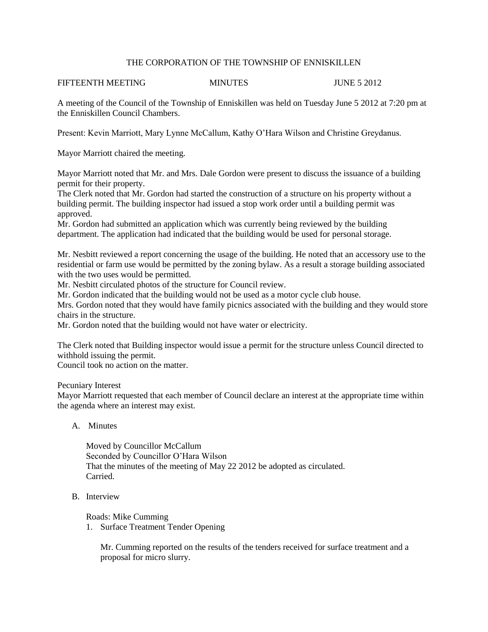## THE CORPORATION OF THE TOWNSHIP OF ENNISKILLEN

# FIFTEENTH MEETING MINUTES MINUTES JUNE 5 2012

A meeting of the Council of the Township of Enniskillen was held on Tuesday June 5 2012 at 7:20 pm at the Enniskillen Council Chambers.

Present: Kevin Marriott, Mary Lynne McCallum, Kathy O'Hara Wilson and Christine Greydanus.

Mayor Marriott chaired the meeting.

Mayor Marriott noted that Mr. and Mrs. Dale Gordon were present to discuss the issuance of a building permit for their property.

The Clerk noted that Mr. Gordon had started the construction of a structure on his property without a building permit. The building inspector had issued a stop work order until a building permit was approved.

Mr. Gordon had submitted an application which was currently being reviewed by the building department. The application had indicated that the building would be used for personal storage.

Mr. Nesbitt reviewed a report concerning the usage of the building. He noted that an accessory use to the residential or farm use would be permitted by the zoning bylaw. As a result a storage building associated with the two uses would be permitted.

Mr. Nesbitt circulated photos of the structure for Council review.

Mr. Gordon indicated that the building would not be used as a motor cycle club house.

Mrs. Gordon noted that they would have family picnics associated with the building and they would store chairs in the structure.

Mr. Gordon noted that the building would not have water or electricity.

The Clerk noted that Building inspector would issue a permit for the structure unless Council directed to withhold issuing the permit.

Council took no action on the matter.

Pecuniary Interest

Mayor Marriott requested that each member of Council declare an interest at the appropriate time within the agenda where an interest may exist.

A. Minutes

Moved by Councillor McCallum Seconded by Councillor O'Hara Wilson That the minutes of the meeting of May 22 2012 be adopted as circulated. Carried.

B. Interview

Roads: Mike Cumming

1. Surface Treatment Tender Opening

Mr. Cumming reported on the results of the tenders received for surface treatment and a proposal for micro slurry.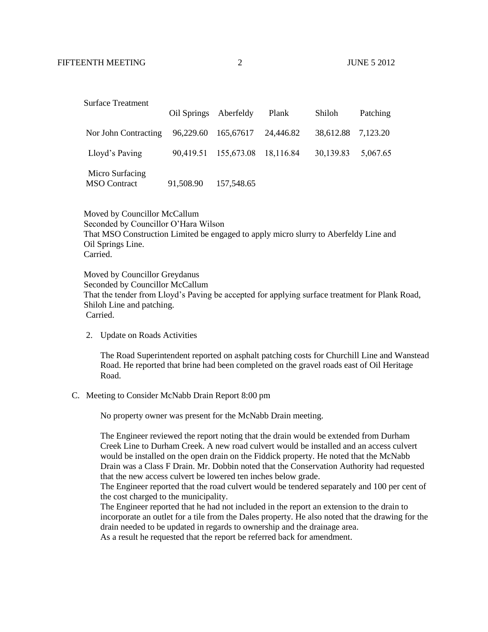|                                        | Oil Springs Aberfeldy |                                | Plank | Shiloh             | Patching |
|----------------------------------------|-----------------------|--------------------------------|-------|--------------------|----------|
| Nor John Contracting                   |                       | 96,229.60 165,67617 24,446.82  |       | 38,612.88 7,123.20 |          |
| Lloyd's Paving                         |                       | 90,419.51 155,673.08 18,116.84 |       | 30,139.83          | 5,067.65 |
| Micro Surfacing<br><b>MSO</b> Contract | 91,508.90             | 157,548.65                     |       |                    |          |

 Moved by Councillor McCallum Seconded by Councillor O'Hara Wilson That MSO Construction Limited be engaged to apply micro slurry to Aberfeldy Line and Oil Springs Line. Carried.

 Moved by Councillor Greydanus Seconded by Councillor McCallum That the tender from Lloyd's Paving be accepted for applying surface treatment for Plank Road, Shiloh Line and patching. Carried.

2. Update on Roads Activities

The Road Superintendent reported on asphalt patching costs for Churchill Line and Wanstead Road. He reported that brine had been completed on the gravel roads east of Oil Heritage Road.

C. Meeting to Consider McNabb Drain Report 8:00 pm

No property owner was present for the McNabb Drain meeting.

The Engineer reviewed the report noting that the drain would be extended from Durham Creek Line to Durham Creek. A new road culvert would be installed and an access culvert would be installed on the open drain on the Fiddick property. He noted that the McNabb Drain was a Class F Drain. Mr. Dobbin noted that the Conservation Authority had requested that the new access culvert be lowered ten inches below grade.

The Engineer reported that the road culvert would be tendered separately and 100 per cent of the cost charged to the municipality.

The Engineer reported that he had not included in the report an extension to the drain to incorporate an outlet for a tile from the Dales property. He also noted that the drawing for the drain needed to be updated in regards to ownership and the drainage area.

As a result he requested that the report be referred back for amendment.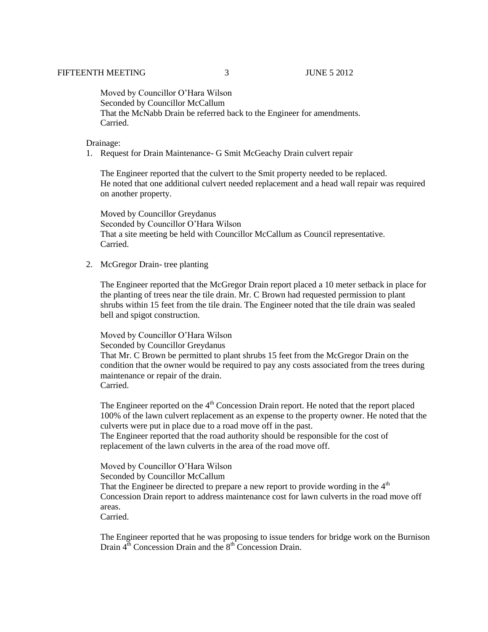Moved by Councillor O'Hara Wilson Seconded by Councillor McCallum That the McNabb Drain be referred back to the Engineer for amendments. Carried.

#### Drainage:

1. Request for Drain Maintenance- G Smit McGeachy Drain culvert repair

The Engineer reported that the culvert to the Smit property needed to be replaced. He noted that one additional culvert needed replacement and a head wall repair was required on another property.

Moved by Councillor Greydanus Seconded by Councillor O'Hara Wilson That a site meeting be held with Councillor McCallum as Council representative. Carried.

2. McGregor Drain- tree planting

The Engineer reported that the McGregor Drain report placed a 10 meter setback in place for the planting of trees near the tile drain. Mr. C Brown had requested permission to plant shrubs within 15 feet from the tile drain. The Engineer noted that the tile drain was sealed bell and spigot construction.

Moved by Councillor O'Hara Wilson

### Seconded by Councillor Greydanus

That Mr. C Brown be permitted to plant shrubs 15 feet from the McGregor Drain on the condition that the owner would be required to pay any costs associated from the trees during maintenance or repair of the drain. Carried.

The Engineer reported on the  $4<sup>th</sup>$  Concession Drain report. He noted that the report placed 100% of the lawn culvert replacement as an expense to the property owner. He noted that the culverts were put in place due to a road move off in the past.

The Engineer reported that the road authority should be responsible for the cost of replacement of the lawn culverts in the area of the road move off.

Moved by Councillor O'Hara Wilson Seconded by Councillor McCallum That the Engineer be directed to prepare a new report to provide wording in the  $4<sup>th</sup>$ Concession Drain report to address maintenance cost for lawn culverts in the road move off areas. Carried.

The Engineer reported that he was proposing to issue tenders for bridge work on the Burnison Drain  $4<sup>th</sup>$  Concession Drain and the  $8<sup>th</sup>$  Concession Drain.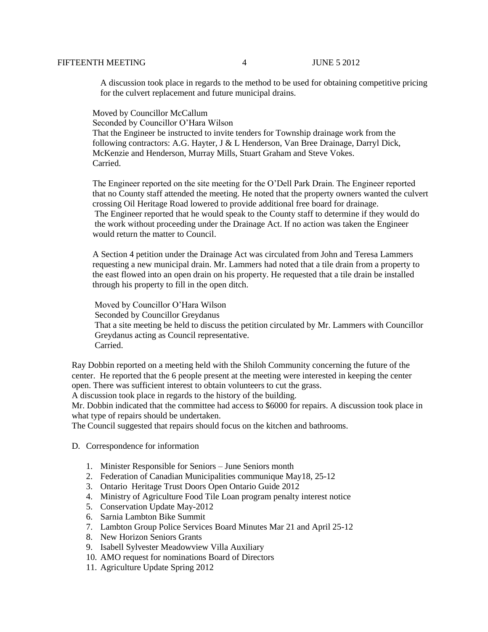A discussion took place in regards to the method to be used for obtaining competitive pricing for the culvert replacement and future municipal drains.

Moved by Councillor McCallum

Seconded by Councillor O'Hara Wilson

 That the Engineer be instructed to invite tenders for Township drainage work from the following contractors: A.G. Hayter, J & L Henderson, Van Bree Drainage, Darryl Dick, McKenzie and Henderson, Murray Mills, Stuart Graham and Steve Vokes. Carried.

 The Engineer reported on the site meeting for the O'Dell Park Drain. The Engineer reported that no County staff attended the meeting. He noted that the property owners wanted the culvert crossing Oil Heritage Road lowered to provide additional free board for drainage. The Engineer reported that he would speak to the County staff to determine if they would do the work without proceeding under the Drainage Act. If no action was taken the Engineer would return the matter to Council.

 A Section 4 petition under the Drainage Act was circulated from John and Teresa Lammers requesting a new municipal drain. Mr. Lammers had noted that a tile drain from a property to the east flowed into an open drain on his property. He requested that a tile drain be installed through his property to fill in the open ditch.

 Moved by Councillor O'Hara Wilson Seconded by Councillor Greydanus That a site meeting be held to discuss the petition circulated by Mr. Lammers with Councillor Greydanus acting as Council representative. Carried.

Ray Dobbin reported on a meeting held with the Shiloh Community concerning the future of the center. He reported that the 6 people present at the meeting were interested in keeping the center open. There was sufficient interest to obtain volunteers to cut the grass.

A discussion took place in regards to the history of the building.

Mr. Dobbin indicated that the committee had access to \$6000 for repairs. A discussion took place in what type of repairs should be undertaken.

The Council suggested that repairs should focus on the kitchen and bathrooms.

- D. Correspondence for information
	- 1. Minister Responsible for Seniors June Seniors month
	- 2. Federation of Canadian Municipalities communique May18, 25-12
	- 3. Ontario Heritage Trust Doors Open Ontario Guide 2012
	- 4. Ministry of Agriculture Food Tile Loan program penalty interest notice
	- 5. Conservation Update May-2012
	- 6. Sarnia Lambton Bike Summit
	- 7. Lambton Group Police Services Board Minutes Mar 21 and April 25-12
	- 8. New Horizon Seniors Grants
	- 9. Isabell Sylvester Meadowview Villa Auxiliary
	- 10. AMO request for nominations Board of Directors
	- 11. Agriculture Update Spring 2012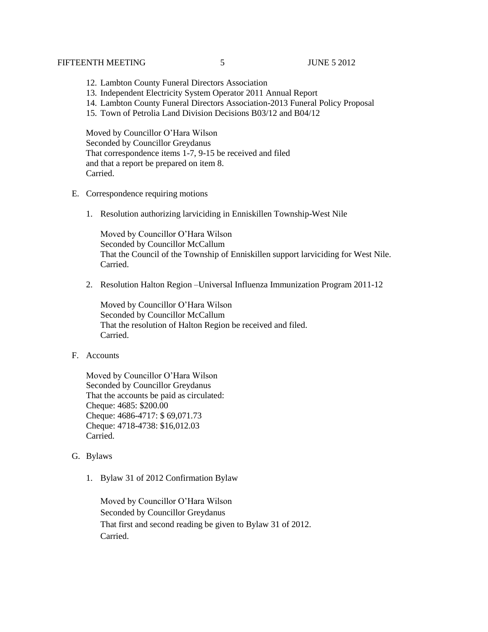### FIFTEENTH MEETING 5 5 5 JUNE 5 2012

- 12. Lambton County Funeral Directors Association
- 13. Independent Electricity System Operator 2011 Annual Report
- 14. Lambton County Funeral Directors Association-2013 Funeral Policy Proposal
- 15. Town of Petrolia Land Division Decisions B03/12 and B04/12

 Moved by Councillor O'Hara Wilson Seconded by Councillor Greydanus That correspondence items 1-7, 9-15 be received and filed and that a report be prepared on item 8. Carried.

- E. Correspondence requiring motions
	- 1. Resolution authorizing larviciding in Enniskillen Township-West Nile

Moved by Councillor O'Hara Wilson Seconded by Councillor McCallum That the Council of the Township of Enniskillen support larviciding for West Nile. Carried.

2. Resolution Halton Region –Universal Influenza Immunization Program 2011-12

Moved by Councillor O'Hara Wilson Seconded by Councillor McCallum That the resolution of Halton Region be received and filed. Carried.

## F. Accounts

Moved by Councillor O'Hara Wilson Seconded by Councillor Greydanus That the accounts be paid as circulated: Cheque: 4685: \$200.00 Cheque: 4686-4717: \$ 69,071.73 Cheque: 4718-4738: \$16,012.03 Carried.

- G. Bylaws
	- 1. Bylaw 31 of 2012 Confirmation Bylaw

Moved by Councillor O'Hara Wilson Seconded by Councillor Greydanus That first and second reading be given to Bylaw 31 of 2012. Carried.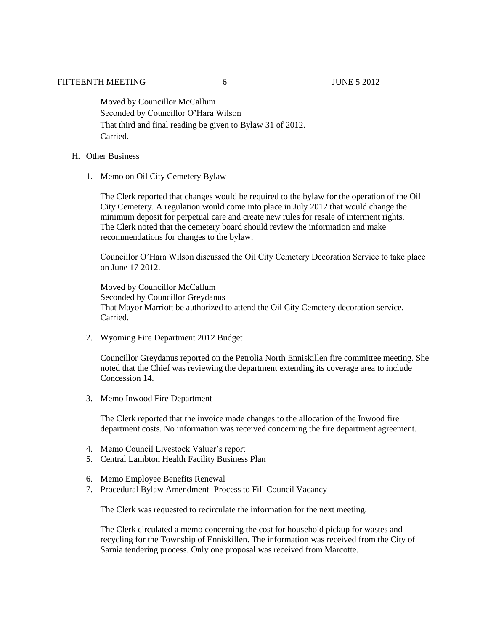Moved by Councillor McCallum Seconded by Councillor O'Hara Wilson That third and final reading be given to Bylaw 31 of 2012. Carried.

- H. Other Business
	- 1. Memo on Oil City Cemetery Bylaw

The Clerk reported that changes would be required to the bylaw for the operation of the Oil City Cemetery. A regulation would come into place in July 2012 that would change the minimum deposit for perpetual care and create new rules for resale of interment rights. The Clerk noted that the cemetery board should review the information and make recommendations for changes to the bylaw.

Councillor O'Hara Wilson discussed the Oil City Cemetery Decoration Service to take place on June 17 2012.

Moved by Councillor McCallum Seconded by Councillor Greydanus That Mayor Marriott be authorized to attend the Oil City Cemetery decoration service. Carried.

2. Wyoming Fire Department 2012 Budget

Councillor Greydanus reported on the Petrolia North Enniskillen fire committee meeting. She noted that the Chief was reviewing the department extending its coverage area to include Concession 14.

3. Memo Inwood Fire Department

The Clerk reported that the invoice made changes to the allocation of the Inwood fire department costs. No information was received concerning the fire department agreement.

- 4. Memo Council Livestock Valuer's report
- 5. Central Lambton Health Facility Business Plan
- 6. Memo Employee Benefits Renewal
- 7. Procedural Bylaw Amendment- Process to Fill Council Vacancy

The Clerk was requested to recirculate the information for the next meeting.

The Clerk circulated a memo concerning the cost for household pickup for wastes and recycling for the Township of Enniskillen. The information was received from the City of Sarnia tendering process. Only one proposal was received from Marcotte.